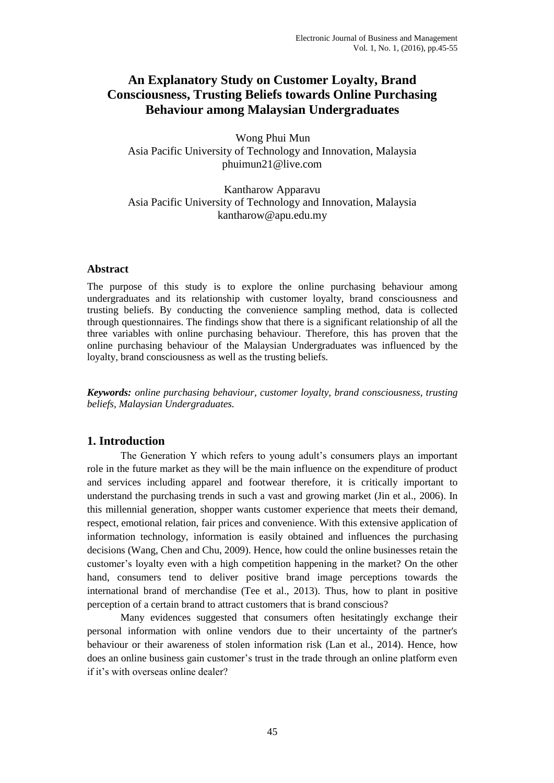# **An Explanatory Study on Customer Loyalty, Brand Consciousness, Trusting Beliefs towards Online Purchasing Behaviour among Malaysian Undergraduates**

Wong Phui Mun Asia Pacific University of Technology and Innovation, Malaysia phuimun21@live.com

Kantharow Apparavu Asia Pacific University of Technology and Innovation, Malaysia kantharow@apu.edu.my

#### **Abstract**

The purpose of this study is to explore the online purchasing behaviour among undergraduates and its relationship with customer loyalty, brand consciousness and trusting beliefs. By conducting the convenience sampling method, data is collected through questionnaires. The findings show that there is a significant relationship of all the three variables with online purchasing behaviour. Therefore, this has proven that the online purchasing behaviour of the Malaysian Undergraduates was influenced by the loyalty, brand consciousness as well as the trusting beliefs.

*Keywords: online purchasing behaviour, customer loyalty, brand consciousness, trusting beliefs, Malaysian Undergraduates.* 

#### **1. Introduction**

The Generation Y which refers to young adult's consumers plays an important role in the future market as they will be the main influence on the expenditure of product and services including apparel and footwear therefore, it is critically important to understand the purchasing trends in such a vast and growing market (Jin et al., 2006). In this millennial generation, shopper wants customer experience that meets their demand, respect, emotional relation, fair prices and convenience. With this extensive application of information technology, information is easily obtained and influences the purchasing decisions (Wang, Chen and Chu, 2009). Hence, how could the online businesses retain the customer's loyalty even with a high competition happening in the market? On the other hand, consumers tend to deliver positive brand image perceptions towards the international brand of merchandise (Tee et al., 2013). Thus, how to plant in positive perception of a certain brand to attract customers that is brand conscious?

Many evidences suggested that consumers often hesitatingly exchange their personal information with online vendors due to their uncertainty of the partner's behaviour or their awareness of stolen information risk (Lan et al., 2014). Hence, how does an online business gain customer's trust in the trade through an online platform even if it's with overseas online dealer?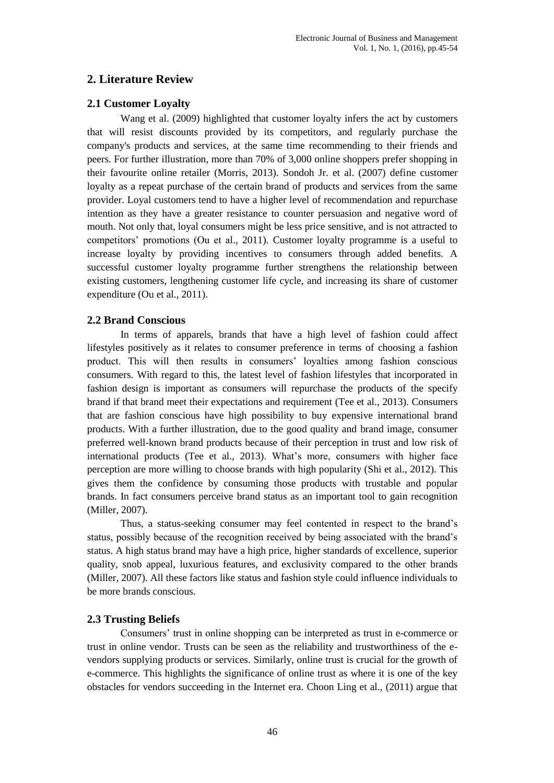## **2. Literature Review**

## **2.1 Customer Loyalty**

Wang et al. (2009) highlighted that customer loyalty infers the act by customers that will resist discounts provided by its competitors, and regularly purchase the company's products and services, at the same time recommending to their friends and peers. For further illustration, more than 70% of 3,000 online shoppers prefer shopping in their favourite online retailer (Morris, 2013). Sondoh Jr. et al. (2007) define customer loyalty as a repeat purchase of the certain brand of products and services from the same provider. Loyal customers tend to have a higher level of recommendation and repurchase intention as they have a greater resistance to counter persuasion and negative word of mouth. Not only that, loyal consumers might be less price sensitive, and is not attracted to competitors' promotions (Ou et al., 2011). Customer loyalty programme is a useful to increase loyalty by providing incentives to consumers through added benefits. A successful customer loyalty programme further strengthens the relationship between existing customers, lengthening customer life cycle, and increasing its share of customer expenditure (Ou et al., 2011).

## **2.2 Brand Conscious**

In terms of apparels, brands that have a high level of fashion could affect lifestyles positively as it relates to consumer preference in terms of choosing a fashion product. This will then results in consumers' loyalties among fashion conscious consumers. With regard to this, the latest level of fashion lifestyles that incorporated in fashion design is important as consumers will repurchase the products of the specify brand if that brand meet their expectations and requirement (Tee et al., 2013). Consumers that are fashion conscious have high possibility to buy expensive international brand products. With a further illustration, due to the good quality and brand image, consumer preferred well-known brand products because of their perception in trust and low risk of international products (Tee et al., 2013). What's more, consumers with higher face perception are more willing to choose brands with high popularity (Shi et al., 2012). This gives them the confidence by consuming those products with trustable and popular brands. In fact consumers perceive brand status as an important tool to gain recognition (Miller, 2007).

Thus, a status-seeking consumer may feel contented in respect to the brand's status, possibly because of the recognition received by being associated with the brand's status. A high status brand may have a high price, higher standards of excellence, superior quality, snob appeal, luxurious features, and exclusivity compared to the other brands (Miller, 2007). All these factors like status and fashion style could influence individuals to be more brands conscious.

## **2.3 Trusting Beliefs**

Consumers' trust in online shopping can be interpreted as trust in e-commerce or trust in online vendor. Trusts can be seen as the reliability and trustworthiness of the evendors supplying products or services. Similarly, online trust is crucial for the growth of e-commerce. This highlights the significance of online trust as where it is one of the key obstacles for vendors succeeding in the Internet era. Choon Ling et al., (2011) argue that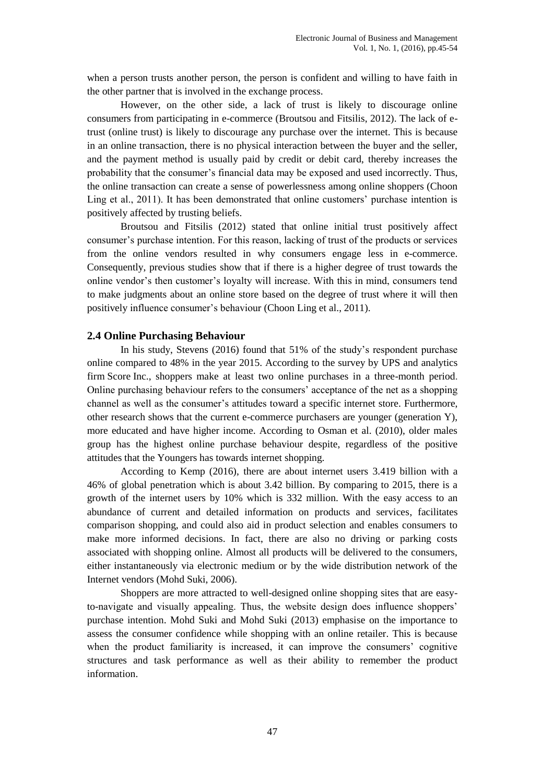when a person trusts another person, the person is confident and willing to have faith in the other partner that is involved in the exchange process.

However, on the other side, a lack of trust is likely to discourage online consumers from participating in e-commerce (Broutsou and Fitsilis, 2012). The lack of etrust (online trust) is likely to discourage any purchase over the internet. This is because in an online transaction, there is no physical interaction between the buyer and the seller, and the payment method is usually paid by credit or debit card, thereby increases the probability that the consumer's financial data may be exposed and used incorrectly. Thus, the online transaction can create a sense of powerlessness among online shoppers (Choon Ling et al., 2011). It has been demonstrated that online customers' purchase intention is positively affected by trusting beliefs.

Broutsou and Fitsilis (2012) stated that online initial trust positively affect consumer's purchase intention. For this reason, lacking of trust of the products or services from the online vendors resulted in why consumers engage less in e-commerce. Consequently, previous studies show that if there is a higher degree of trust towards the online vendor's then customer's loyalty will increase. With this in mind, consumers tend to make judgments about an online store based on the degree of trust where it will then positively influence consumer's behaviour (Choon Ling et al., 2011).

#### **2.4 Online Purchasing Behaviour**

In his study, Stevens (2016) found that 51% of the study's respondent purchase online compared to 48% in the year 2015. According to the survey by UPS and analytics firm Score Inc., shoppers make at least two online purchases in a three-month period. Online purchasing behaviour refers to the consumers' acceptance of the net as a shopping channel as well as the consumer's attitudes toward a specific internet store. Furthermore, other research shows that the current e-commerce purchasers are younger (generation Y), more educated and have higher income. According to Osman et al. (2010), older males group has the highest online purchase behaviour despite, regardless of the positive attitudes that the Youngers has towards internet shopping.

According to Kemp (2016), there are about internet users 3.419 billion with a 46% of global penetration which is about 3.42 billion. By comparing to 2015, there is a growth of the internet users by 10% which is 332 million. With the easy access to an abundance of current and detailed information on products and services, facilitates comparison shopping, and could also aid in product selection and enables consumers to make more informed decisions. In fact, there are also no driving or parking costs associated with shopping online. Almost all products will be delivered to the consumers, either instantaneously via electronic medium or by the wide distribution network of the Internet vendors (Mohd Suki, 2006).

Shoppers are more attracted to well-designed online shopping sites that are easyto-navigate and visually appealing. Thus, the website design does influence shoppers' purchase intention. Mohd Suki and Mohd Suki (2013) emphasise on the importance to assess the consumer confidence while shopping with an online retailer. This is because when the product familiarity is increased, it can improve the consumers' cognitive structures and task performance as well as their ability to remember the product information.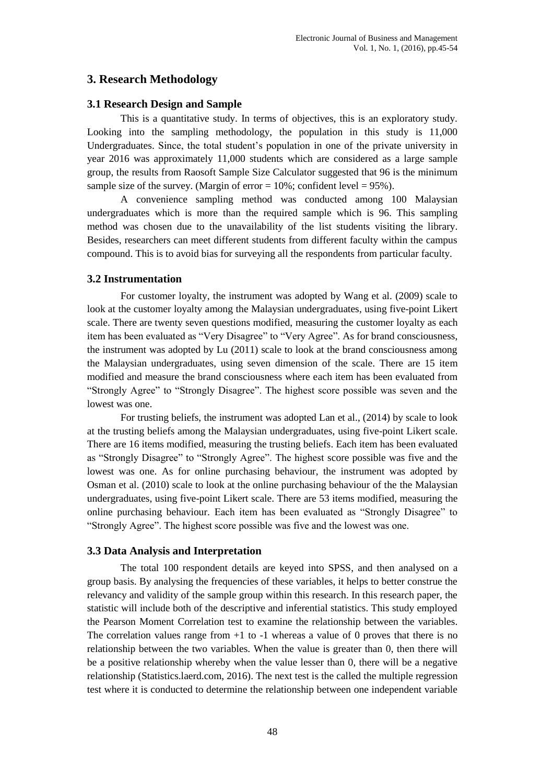## **3. Research Methodology**

### **3.1 Research Design and Sample**

This is a quantitative study. In terms of objectives, this is an exploratory study. Looking into the sampling methodology, the population in this study is 11,000 Undergraduates. Since, the total student's population in one of the private university in year 2016 was approximately 11,000 students which are considered as a large sample group, the results from Raosoft Sample Size Calculator suggested that 96 is the minimum sample size of the survey. (Margin of error =  $10\%$ ; confident level =  $95\%$ ).

A convenience sampling method was conducted among 100 Malaysian undergraduates which is more than the required sample which is 96. This sampling method was chosen due to the unavailability of the list students visiting the library. Besides, researchers can meet different students from different faculty within the campus compound. This is to avoid bias for surveying all the respondents from particular faculty.

### **3.2 Instrumentation**

For customer loyalty, the instrument was adopted by Wang et al. (2009) scale to look at the customer loyalty among the Malaysian undergraduates, using five-point Likert scale. There are twenty seven questions modified, measuring the customer loyalty as each item has been evaluated as "Very Disagree" to "Very Agree". As for brand consciousness, the instrument was adopted by Lu (2011) scale to look at the brand consciousness among the Malaysian undergraduates, using seven dimension of the scale. There are 15 item modified and measure the brand consciousness where each item has been evaluated from "Strongly Agree" to "Strongly Disagree". The highest score possible was seven and the lowest was one.

For trusting beliefs, the instrument was adopted Lan et al., (2014) by scale to look at the trusting beliefs among the Malaysian undergraduates, using five-point Likert scale. There are 16 items modified, measuring the trusting beliefs. Each item has been evaluated as "Strongly Disagree" to "Strongly Agree". The highest score possible was five and the lowest was one. As for online purchasing behaviour, the instrument was adopted by Osman et al. (2010) scale to look at the online purchasing behaviour of the the Malaysian undergraduates, using five-point Likert scale. There are 53 items modified, measuring the online purchasing behaviour. Each item has been evaluated as "Strongly Disagree" to "Strongly Agree". The highest score possible was five and the lowest was one.

#### **3.3 Data Analysis and Interpretation**

The total 100 respondent details are keyed into SPSS, and then analysed on a group basis. By analysing the frequencies of these variables, it helps to better construe the relevancy and validity of the sample group within this research. In this research paper, the statistic will include both of the descriptive and inferential statistics. This study employed the Pearson Moment Correlation test to examine the relationship between the variables. The correlation values range from  $+1$  to  $-1$  whereas a value of 0 proves that there is no relationship between the two variables. When the value is greater than 0, then there will be a positive relationship whereby when the value lesser than 0, there will be a negative relationship (Statistics.laerd.com, 2016). The next test is the called the multiple regression test where it is conducted to determine the relationship between one independent variable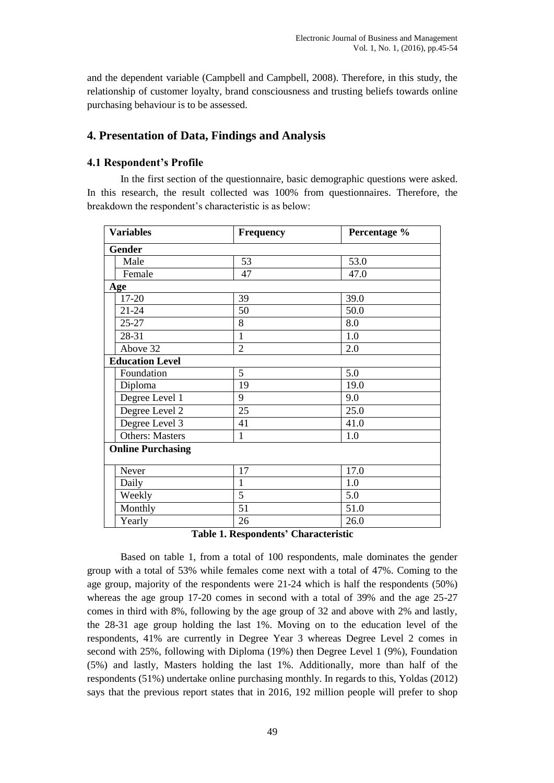and the dependent variable (Campbell and Campbell, 2008). Therefore, in this study, the relationship of customer loyalty, brand consciousness and trusting beliefs towards online purchasing behaviour is to be assessed.

## **4. Presentation of Data, Findings and Analysis**

### **4.1 Respondent's Profile**

In the first section of the questionnaire, basic demographic questions were asked. In this research, the result collected was 100% from questionnaires. Therefore, the breakdown the respondent's characteristic is as below:

| <b>Variables</b> |                          | <b>Frequency</b> | Percentage % |
|------------------|--------------------------|------------------|--------------|
|                  | <b>Gender</b>            |                  |              |
|                  | Male                     | 53               | 53.0         |
|                  | Female                   | 47               | 47.0         |
|                  | Age                      |                  |              |
|                  | 17-20                    | 39               | 39.0         |
|                  | $21 - 24$                | 50               | 50.0         |
|                  | $25 - 27$                | 8                | 8.0          |
|                  | 28-31                    | $\mathbf{1}$     | 1.0          |
|                  | Above 32                 | $\overline{2}$   | 2.0          |
|                  | <b>Education Level</b>   |                  |              |
|                  | Foundation               | 5                | 5.0          |
|                  | Diploma                  | 19               | 19.0         |
|                  | Degree Level 1           | 9                | 9.0          |
|                  | Degree Level 2           | 25               | 25.0         |
|                  | Degree Level 3           | 41               | 41.0         |
|                  | <b>Others: Masters</b>   | 1                | 1.0          |
|                  | <b>Online Purchasing</b> |                  |              |
|                  | Never                    | 17               | 17.0         |
|                  | Daily                    | $\mathbf{1}$     | 1.0          |
|                  | Weekly                   | 5                | 5.0          |
|                  | Monthly                  | 51               | 51.0         |
|                  | Yearly                   | 26               | 26.0         |

**Table 1. Respondents' Characteristic**

Based on table 1, from a total of 100 respondents, male dominates the gender group with a total of 53% while females come next with a total of 47%. Coming to the age group, majority of the respondents were 21-24 which is half the respondents (50%) whereas the age group 17-20 comes in second with a total of 39% and the age 25-27 comes in third with 8%, following by the age group of 32 and above with 2% and lastly, the 28-31 age group holding the last 1%. Moving on to the education level of the respondents, 41% are currently in Degree Year 3 whereas Degree Level 2 comes in second with 25%, following with Diploma (19%) then Degree Level 1 (9%), Foundation (5%) and lastly, Masters holding the last 1%. Additionally, more than half of the respondents (51%) undertake online purchasing monthly. In regards to this, Yoldas (2012) says that the previous report states that in 2016, 192 million people will prefer to shop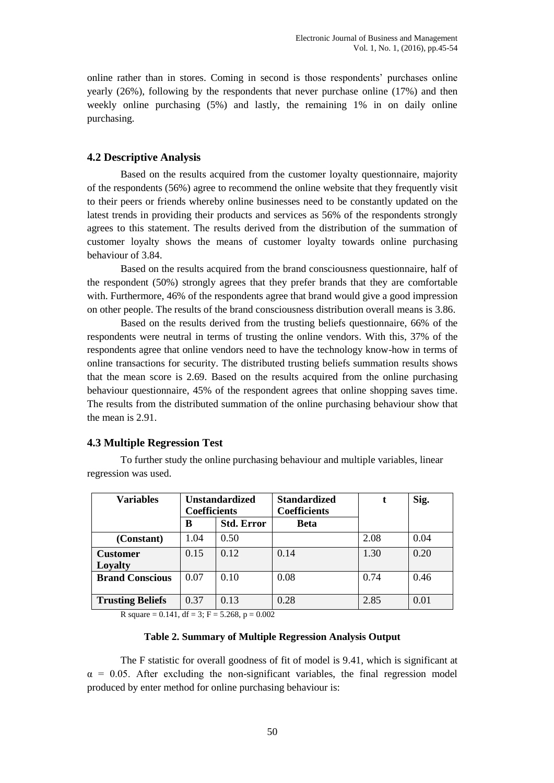online rather than in stores. Coming in second is those respondents' purchases online yearly (26%), following by the respondents that never purchase online (17%) and then weekly online purchasing (5%) and lastly, the remaining 1% in on daily online purchasing.

#### **4.2 Descriptive Analysis**

Based on the results acquired from the customer loyalty questionnaire, majority of the respondents (56%) agree to recommend the online website that they frequently visit to their peers or friends whereby online businesses need to be constantly updated on the latest trends in providing their products and services as 56% of the respondents strongly agrees to this statement. The results derived from the distribution of the summation of customer loyalty shows the means of customer loyalty towards online purchasing behaviour of 3.84.

Based on the results acquired from the brand consciousness questionnaire, half of the respondent (50%) strongly agrees that they prefer brands that they are comfortable with. Furthermore, 46% of the respondents agree that brand would give a good impression on other people. The results of the brand consciousness distribution overall means is 3.86.

Based on the results derived from the trusting beliefs questionnaire, 66% of the respondents were neutral in terms of trusting the online vendors. With this, 37% of the respondents agree that online vendors need to have the technology know-how in terms of online transactions for security. The distributed trusting beliefs summation results shows that the mean score is 2.69. Based on the results acquired from the online purchasing behaviour questionnaire, 45% of the respondent agrees that online shopping saves time. The results from the distributed summation of the online purchasing behaviour show that the mean is 2.91.

#### **4.3 Multiple Regression Test**

regression was used. **Variables Unstandardized Standardized t Sig.**

To further study the online purchasing behaviour and multiple variables, linear

| <b>Variables</b>           | <b>Unstandardized</b><br><b>Coefficients</b> |                   | <b>Standardized</b><br><b>Coefficients</b> | t    | Sig. |
|----------------------------|----------------------------------------------|-------------------|--------------------------------------------|------|------|
|                            | В                                            | <b>Std. Error</b> | <b>Beta</b>                                |      |      |
| (Constant)                 | 1.04                                         | 0.50              |                                            | 2.08 | 0.04 |
| <b>Customer</b><br>Loyalty | 0.15                                         | 0.12              | 0.14                                       | 1.30 | 0.20 |
| <b>Brand Conscious</b>     | 0.07                                         | 0.10              | 0.08                                       | 0.74 | 0.46 |
| <b>Trusting Beliefs</b>    | 0.37                                         | 0.13              | 0.28                                       | 2.85 | 0.01 |

R square = 0.141, df = 3; F = 5.268, p = 0.002

#### **Table 2. Summary of Multiple Regression Analysis Output**

The F statistic for overall goodness of fit of model is 9.41, which is significant at  $\alpha$  = 0.05. After excluding the non-significant variables, the final regression model produced by enter method for online purchasing behaviour is: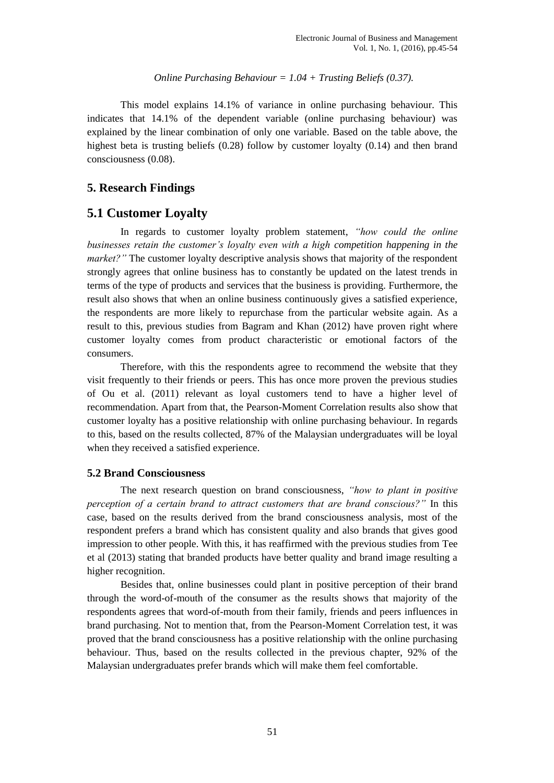#### *Online Purchasing Behaviour = 1.04 + Trusting Beliefs (0.37).*

This model explains 14.1% of variance in online purchasing behaviour. This indicates that 14.1% of the dependent variable (online purchasing behaviour) was explained by the linear combination of only one variable. Based on the table above, the highest beta is trusting beliefs (0.28) follow by customer loyalty (0.14) and then brand consciousness (0.08).

## **5. Research Findings**

## **5.1 Customer Loyalty**

In regards to customer loyalty problem statement, *"how could the online businesses retain the customer's loyalty even with a high competition happening in the market?"* The customer loyalty descriptive analysis shows that majority of the respondent strongly agrees that online business has to constantly be updated on the latest trends in terms of the type of products and services that the business is providing. Furthermore, the result also shows that when an online business continuously gives a satisfied experience, the respondents are more likely to repurchase from the particular website again. As a result to this, previous studies from Bagram and Khan (2012) have proven right where customer loyalty comes from product characteristic or emotional factors of the consumers.

Therefore, with this the respondents agree to recommend the website that they visit frequently to their friends or peers. This has once more proven the previous studies of Ou et al. (2011) relevant as loyal customers tend to have a higher level of recommendation. Apart from that, the Pearson-Moment Correlation results also show that customer loyalty has a positive relationship with online purchasing behaviour. In regards to this, based on the results collected, 87% of the Malaysian undergraduates will be loyal when they received a satisfied experience.

#### **5.2 Brand Consciousness**

The next research question on brand consciousness, *"how to plant in positive perception of a certain brand to attract customers that are brand conscious?"* In this case, based on the results derived from the brand consciousness analysis, most of the respondent prefers a brand which has consistent quality and also brands that gives good impression to other people. With this, it has reaffirmed with the previous studies from Tee et al (2013) stating that branded products have better quality and brand image resulting a higher recognition.

Besides that, online businesses could plant in positive perception of their brand through the word-of-mouth of the consumer as the results shows that majority of the respondents agrees that word-of-mouth from their family, friends and peers influences in brand purchasing. Not to mention that, from the Pearson-Moment Correlation test, it was proved that the brand consciousness has a positive relationship with the online purchasing behaviour. Thus, based on the results collected in the previous chapter, 92% of the Malaysian undergraduates prefer brands which will make them feel comfortable.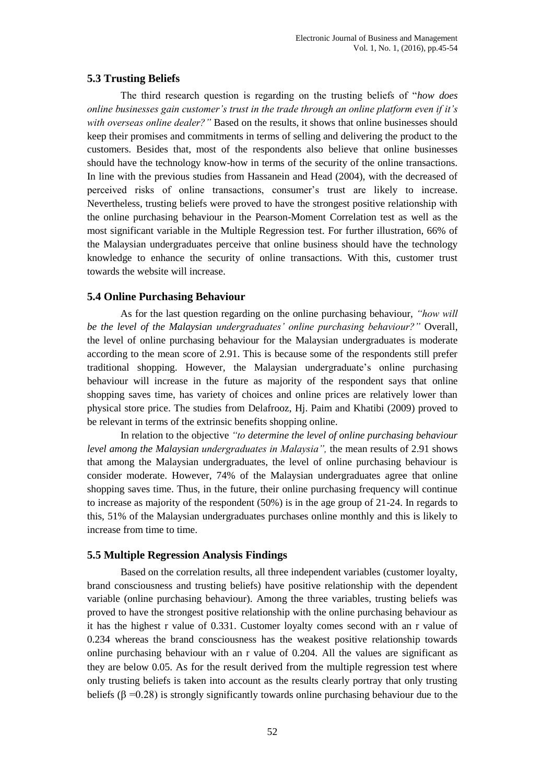## **5.3 Trusting Beliefs**

The third research question is regarding on the trusting beliefs of "*how does online businesses gain customer's trust in the trade through an online platform even if it's with overseas online dealer?"* Based on the results, it shows that online businesses should keep their promises and commitments in terms of selling and delivering the product to the customers. Besides that, most of the respondents also believe that online businesses should have the technology know-how in terms of the security of the online transactions. In line with the previous studies from Hassanein and Head (2004), with the decreased of perceived risks of online transactions, consumer's trust are likely to increase. Nevertheless, trusting beliefs were proved to have the strongest positive relationship with the online purchasing behaviour in the Pearson-Moment Correlation test as well as the most significant variable in the Multiple Regression test. For further illustration, 66% of the Malaysian undergraduates perceive that online business should have the technology knowledge to enhance the security of online transactions. With this, customer trust towards the website will increase.

### **5.4 Online Purchasing Behaviour**

As for the last question regarding on the online purchasing behaviour, *"how will be the level of the Malaysian undergraduates' online purchasing behaviour?"* Overall, the level of online purchasing behaviour for the Malaysian undergraduates is moderate according to the mean score of 2.91. This is because some of the respondents still prefer traditional shopping. However, the Malaysian undergraduate's online purchasing behaviour will increase in the future as majority of the respondent says that online shopping saves time, has variety of choices and online prices are relatively lower than physical store price. The studies from Delafrooz, Hj. Paim and Khatibi (2009) proved to be relevant in terms of the extrinsic benefits shopping online.

In relation to the objective *"to determine the level of online purchasing behaviour level among the Malaysian undergraduates in Malaysia",* the mean results of 2.91 shows that among the Malaysian undergraduates, the level of online purchasing behaviour is consider moderate. However, 74% of the Malaysian undergraduates agree that online shopping saves time. Thus, in the future, their online purchasing frequency will continue to increase as majority of the respondent (50%) is in the age group of 21-24. In regards to this, 51% of the Malaysian undergraduates purchases online monthly and this is likely to increase from time to time.

#### **5.5 Multiple Regression Analysis Findings**

Based on the correlation results, all three independent variables (customer loyalty, brand consciousness and trusting beliefs) have positive relationship with the dependent variable (online purchasing behaviour). Among the three variables, trusting beliefs was proved to have the strongest positive relationship with the online purchasing behaviour as it has the highest r value of 0.331. Customer loyalty comes second with an r value of 0.234 whereas the brand consciousness has the weakest positive relationship towards online purchasing behaviour with an r value of 0.204. All the values are significant as they are below 0.05. As for the result derived from the multiple regression test where only trusting beliefs is taken into account as the results clearly portray that only trusting beliefs ( $\beta$  =0.28) is strongly significantly towards online purchasing behaviour due to the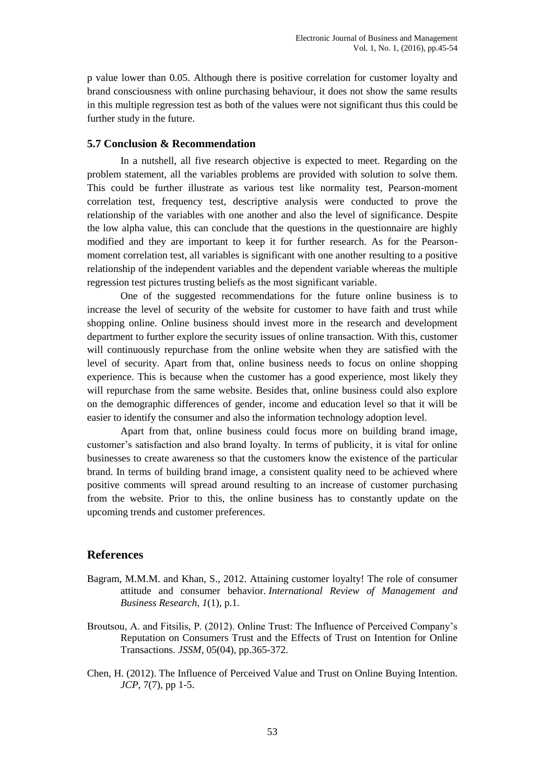p value lower than 0.05. Although there is positive correlation for customer loyalty and brand consciousness with online purchasing behaviour, it does not show the same results in this multiple regression test as both of the values were not significant thus this could be further study in the future.

#### **5.7 Conclusion & Recommendation**

In a nutshell, all five research objective is expected to meet. Regarding on the problem statement, all the variables problems are provided with solution to solve them. This could be further illustrate as various test like normality test, Pearson-moment correlation test, frequency test, descriptive analysis were conducted to prove the relationship of the variables with one another and also the level of significance. Despite the low alpha value, this can conclude that the questions in the questionnaire are highly modified and they are important to keep it for further research. As for the Pearsonmoment correlation test, all variables is significant with one another resulting to a positive relationship of the independent variables and the dependent variable whereas the multiple regression test pictures trusting beliefs as the most significant variable.

One of the suggested recommendations for the future online business is to increase the level of security of the website for customer to have faith and trust while shopping online. Online business should invest more in the research and development department to further explore the security issues of online transaction. With this, customer will continuously repurchase from the online website when they are satisfied with the level of security. Apart from that, online business needs to focus on online shopping experience. This is because when the customer has a good experience, most likely they will repurchase from the same website. Besides that, online business could also explore on the demographic differences of gender, income and education level so that it will be easier to identify the consumer and also the information technology adoption level.

Apart from that, online business could focus more on building brand image, customer's satisfaction and also brand loyalty. In terms of publicity, it is vital for online businesses to create awareness so that the customers know the existence of the particular brand. In terms of building brand image, a consistent quality need to be achieved where positive comments will spread around resulting to an increase of customer purchasing from the website. Prior to this, the online business has to constantly update on the upcoming trends and customer preferences.

#### **References**

- Bagram, M.M.M. and Khan, S., 2012. Attaining customer loyalty! The role of consumer attitude and consumer behavior. *International Review of Management and Business Research*, *1*(1), p.1.
- Broutsou, A. and Fitsilis, P. (2012). Online Trust: The Influence of Perceived Company's Reputation on Consumers Trust and the Effects of Trust on Intention for Online Transactions. *JSSM*, 05(04), pp.365-372.
- Chen, H. (2012). The Influence of Perceived Value and Trust on Online Buying Intention. *JCP*, 7(7), pp 1-5.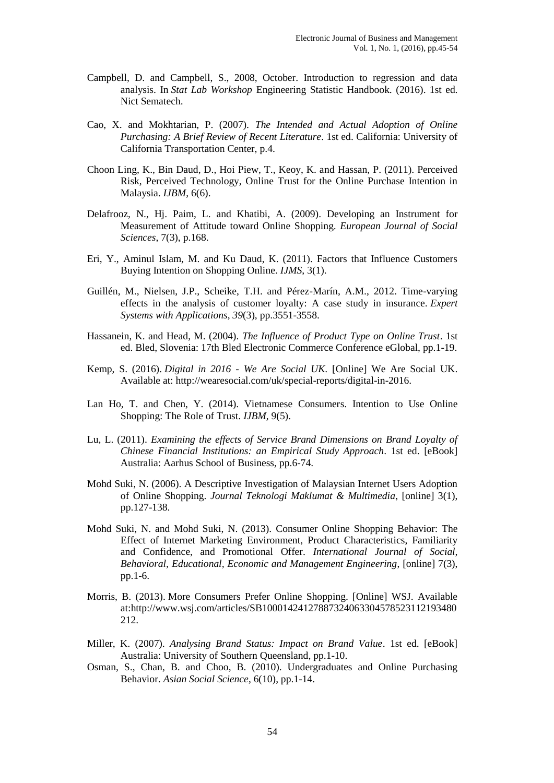- Campbell, D. and Campbell, S., 2008, October. Introduction to regression and data analysis. In *Stat Lab Workshop* Engineering Statistic Handbook. (2016). 1st ed. Nict Sematech.
- Cao, X. and Mokhtarian, P. (2007). *The Intended and Actual Adoption of Online Purchasing: A Brief Review of Recent Literature*. 1st ed. California: University of California Transportation Center, p.4.
- Choon Ling, K., Bin Daud, D., Hoi Piew, T., Keoy, K. and Hassan, P. (2011). Perceived Risk, Perceived Technology, Online Trust for the Online Purchase Intention in Malaysia. *IJBM*, 6(6).
- Delafrooz, N., Hj. Paim, L. and Khatibi, A. (2009). Developing an Instrument for Measurement of Attitude toward Online Shopping. *European Journal of Social Sciences*, 7(3), p.168.
- Eri, Y., Aminul Islam, M. and Ku Daud, K. (2011). Factors that Influence Customers Buying Intention on Shopping Online. *IJMS*, 3(1).
- Guillén, M., Nielsen, J.P., Scheike, T.H. and Pérez-Marín, A.M., 2012. Time-varying effects in the analysis of customer loyalty: A case study in insurance. *Expert Systems with Applications*, *39*(3), pp.3551-3558.
- Hassanein, K. and Head, M. (2004). *The Influence of Product Type on Online Trust*. 1st ed. Bled, Slovenia: 17th Bled Electronic Commerce Conference eGlobal, pp.1-19.
- Kemp, S. (2016). *Digital in 2016 - We Are Social UK*. [Online] We Are Social UK. Available at: http://wearesocial.com/uk/special-reports/digital-in-2016.
- Lan Ho, T. and Chen, Y. (2014). Vietnamese Consumers. Intention to Use Online Shopping: The Role of Trust. *IJBM*, 9(5).
- Lu, L. (2011). *Examining the effects of Service Brand Dimensions on Brand Loyalty of Chinese Financial Institutions: an Empirical Study Approach*. 1st ed. [eBook] Australia: Aarhus School of Business, pp.6-74.
- Mohd Suki, N. (2006). A Descriptive Investigation of Malaysian Internet Users Adoption of Online Shopping. *Journal Teknologi Maklumat & Multimedia*, [online] 3(1), pp.127-138.
- Mohd Suki, N. and Mohd Suki, N. (2013). Consumer Online Shopping Behavior: The Effect of Internet Marketing Environment, Product Characteristics, Familiarity and Confidence, and Promotional Offer. *International Journal of Social, Behavioral, Educational, Economic and Management Engineering*, [online] 7(3), pp.1-6.
- Morris, B. (2013). More Consumers Prefer Online Shopping. [Online] WSJ. Available at:http://www.wsj.com/articles/SB10001424127887324063304578523112193480 212.
- Miller, K. (2007). *Analysing Brand Status: Impact on Brand Value*. 1st ed. [eBook] Australia: University of Southern Queensland, pp.1-10.
- Osman, S., Chan, B. and Choo, B. (2010). Undergraduates and Online Purchasing Behavior. *Asian Social Science*, 6(10), pp.1-14.